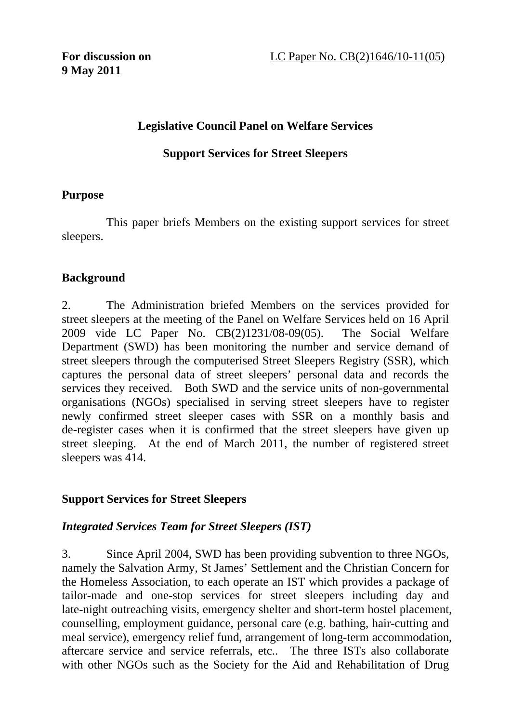## **Legislative Council Panel on Welfare Services**

#### **Support Services for Street Sleepers**

#### **Purpose**

This paper briefs Members on the existing support services for street sleepers.

#### **Background**

2. The Administration briefed Members on the services provided for street sleepers at the meeting of the Panel on Welfare Services held on 16 April 2009 vide LC Paper No. CB(2)1231/08-09(05). The Social Welfare Department (SWD) has been monitoring the number and service demand of street sleepers through the computerised Street Sleepers Registry (SSR), which captures the personal data of street sleepers' personal data and records the services they received. Both SWD and the service units of non-governmental organisations (NGOs) specialised in serving street sleepers have to register newly confirmed street sleeper cases with SSR on a monthly basis and de-register cases when it is confirmed that the street sleepers have given up street sleeping. At the end of March 2011, the number of registered street sleepers was 414.

#### **Support Services for Street Sleepers**

#### *Integrated Services Team for Street Sleepers (IST)*

3. Since April 2004, SWD has been providing subvention to three NGOs, namely the Salvation Army, St James' Settlement and the Christian Concern for the Homeless Association, to each operate an IST which provides a package of tailor-made and one-stop services for street sleepers including day and late-night outreaching visits, emergency shelter and short-term hostel placement, counselling, employment guidance, personal care (e.g. bathing, hair-cutting and meal service), emergency relief fund, arrangement of long-term accommodation, aftercare service and service referrals, etc.. The three ISTs also collaborate with other NGOs such as the Society for the Aid and Rehabilitation of Drug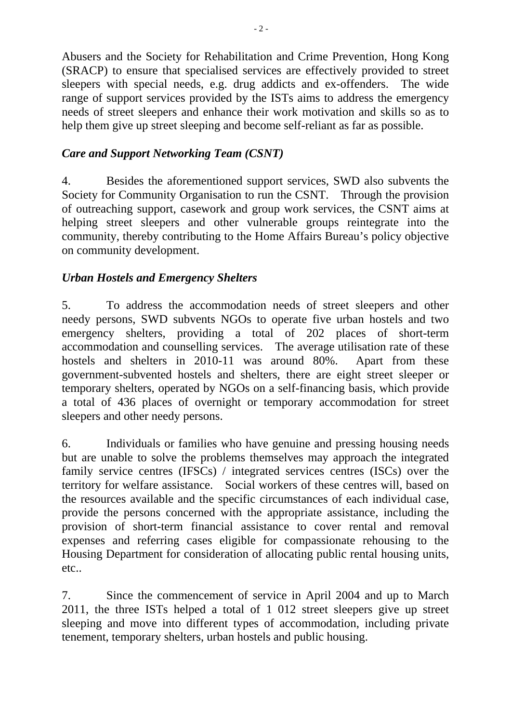Abusers and the Society for Rehabilitation and Crime Prevention, Hong Kong (SRACP) to ensure that specialised services are effectively provided to street sleepers with special needs, e.g. drug addicts and ex-offenders. The wide range of support services provided by the ISTs aims to address the emergency needs of street sleepers and enhance their work motivation and skills so as to help them give up street sleeping and become self-reliant as far as possible.

# *Care and Support Networking Team (CSNT)*

4. Besides the aforementioned support services, SWD also subvents the Society for Community Organisation to run the CSNT. Through the provision of outreaching support, casework and group work services, the CSNT aims at helping street sleepers and other vulnerable groups reintegrate into the community, thereby contributing to the Home Affairs Bureau's policy objective on community development.

## *Urban Hostels and Emergency Shelters*

5. To address the accommodation needs of street sleepers and other needy persons, SWD subvents NGOs to operate five urban hostels and two emergency shelters, providing a total of 202 places of short-term accommodation and counselling services. The average utilisation rate of these hostels and shelters in 2010-11 was around 80%. Apart from these government-subvented hostels and shelters, there are eight street sleeper or temporary shelters, operated by NGOs on a self-financing basis, which provide a total of 436 places of overnight or temporary accommodation for street sleepers and other needy persons.

6. Individuals or families who have genuine and pressing housing needs but are unable to solve the problems themselves may approach the integrated family service centres (IFSCs) / integrated services centres (ISCs) over the territory for welfare assistance. Social workers of these centres will, based on the resources available and the specific circumstances of each individual case, provide the persons concerned with the appropriate assistance, including the provision of short-term financial assistance to cover rental and removal expenses and referring cases eligible for compassionate rehousing to the Housing Department for consideration of allocating public rental housing units, etc..

7. Since the commencement of service in April 2004 and up to March 2011, the three ISTs helped a total of 1 012 street sleepers give up street sleeping and move into different types of accommodation, including private tenement, temporary shelters, urban hostels and public housing.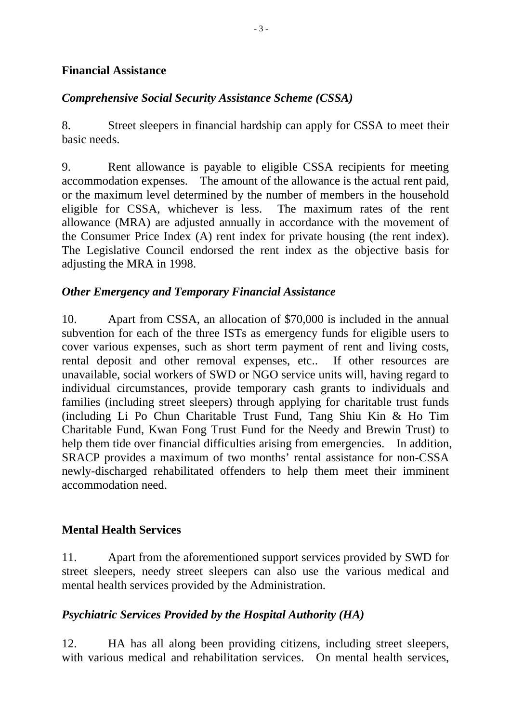#### **Financial Assistance**

# *Comprehensive Social Security Assistance Scheme (CSSA)*

8. Street sleepers in financial hardship can apply for CSSA to meet their basic needs.

9. Rent allowance is payable to eligible CSSA recipients for meeting accommodation expenses. The amount of the allowance is the actual rent paid, or the maximum level determined by the number of members in the household eligible for CSSA, whichever is less. The maximum rates of the rent allowance (MRA) are adjusted annually in accordance with the movement of the Consumer Price Index (A) rent index for private housing (the rent index). The Legislative Council endorsed the rent index as the objective basis for adjusting the MRA in 1998.

## *Other Emergency and Temporary Financial Assistance*

10. Apart from CSSA, an allocation of \$70,000 is included in the annual subvention for each of the three ISTs as emergency funds for eligible users to cover various expenses, such as short term payment of rent and living costs, rental deposit and other removal expenses, etc.. If other resources are unavailable, social workers of SWD or NGO service units will, having regard to individual circumstances, provide temporary cash grants to individuals and families (including street sleepers) through applying for charitable trust funds (including Li Po Chun Charitable Trust Fund, Tang Shiu Kin & Ho Tim Charitable Fund, Kwan Fong Trust Fund for the Needy and Brewin Trust) to help them tide over financial difficulties arising from emergencies. In addition, SRACP provides a maximum of two months' rental assistance for non-CSSA newly-discharged rehabilitated offenders to help them meet their imminent accommodation need.

## **Mental Health Services**

11. Apart from the aforementioned support services provided by SWD for street sleepers, needy street sleepers can also use the various medical and mental health services provided by the Administration.

#### *Psychiatric Services Provided by the Hospital Authority (HA)*

12. HA has all along been providing citizens, including street sleepers, with various medical and rehabilitation services. On mental health services,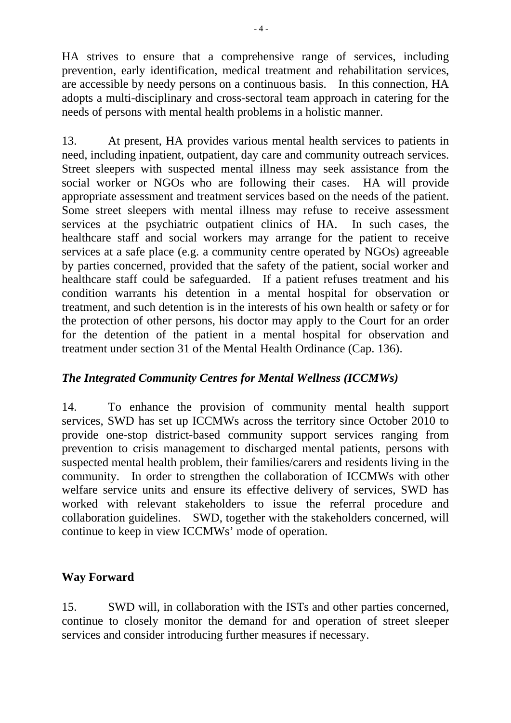HA strives to ensure that a comprehensive range of services, including prevention, early identification, medical treatment and rehabilitation services, are accessible by needy persons on a continuous basis. In this connection, HA adopts a multi-disciplinary and cross-sectoral team approach in catering for the needs of persons with mental health problems in a holistic manner.

13. At present, HA provides various mental health services to patients in need, including inpatient, outpatient, day care and community outreach services. Street sleepers with suspected mental illness may seek assistance from the social worker or NGOs who are following their cases. HA will provide appropriate assessment and treatment services based on the needs of the patient. Some street sleepers with mental illness may refuse to receive assessment services at the psychiatric outpatient clinics of HA. In such cases, the healthcare staff and social workers may arrange for the patient to receive services at a safe place (e.g. a community centre operated by NGOs) agreeable by parties concerned, provided that the safety of the patient, social worker and healthcare staff could be safeguarded. If a patient refuses treatment and his condition warrants his detention in a mental hospital for observation or treatment, and such detention is in the interests of his own health or safety or for the protection of other persons, his doctor may apply to the Court for an order for the detention of the patient in a mental hospital for observation and treatment under section 31 of the Mental Health Ordinance (Cap. 136).

## *The Integrated Community Centres for Mental Wellness (ICCMWs)*

14. To enhance the provision of community mental health support services, SWD has set up ICCMWs across the territory since October 2010 to provide one-stop district-based community support services ranging from prevention to crisis management to discharged mental patients, persons with suspected mental health problem, their families/carers and residents living in the community. In order to strengthen the collaboration of ICCMWs with other welfare service units and ensure its effective delivery of services, SWD has worked with relevant stakeholders to issue the referral procedure and collaboration guidelines. SWD, together with the stakeholders concerned, will continue to keep in view ICCMWs' mode of operation.

## **Way Forward**

15. SWD will, in collaboration with the ISTs and other parties concerned, continue to closely monitor the demand for and operation of street sleeper services and consider introducing further measures if necessary.